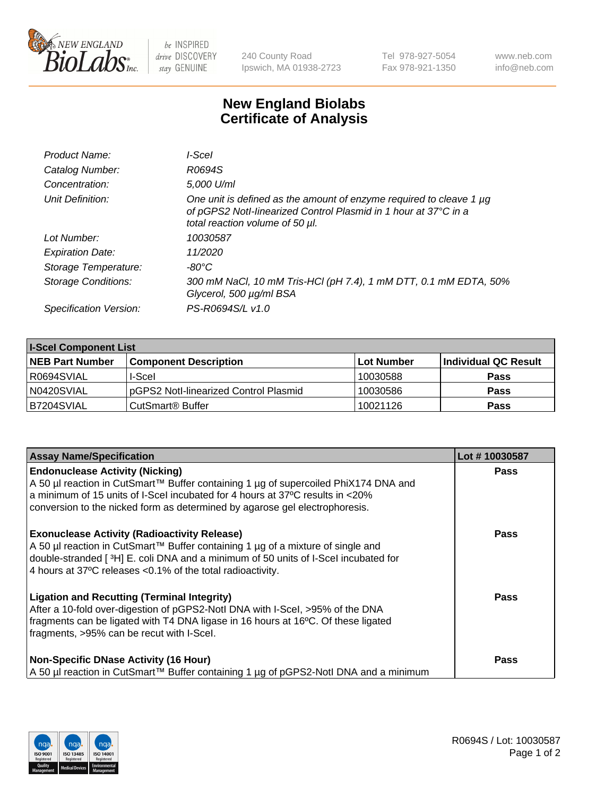

 $be$  INSPIRED drive DISCOVERY stay GENUINE

240 County Road Ipswich, MA 01938-2723 Tel 978-927-5054 Fax 978-921-1350 www.neb.com info@neb.com

## **New England Biolabs Certificate of Analysis**

| I-Scel                                                                                                                                                                    |
|---------------------------------------------------------------------------------------------------------------------------------------------------------------------------|
| R0694S                                                                                                                                                                    |
| 5,000 U/ml                                                                                                                                                                |
| One unit is defined as the amount of enzyme required to cleave 1 µg<br>of pGPS2 Notl-linearized Control Plasmid in 1 hour at 37°C in a<br>total reaction volume of 50 µl. |
| 10030587                                                                                                                                                                  |
| 11/2020                                                                                                                                                                   |
| $-80^{\circ}$ C                                                                                                                                                           |
| 300 mM NaCl, 10 mM Tris-HCl (pH 7.4), 1 mM DTT, 0.1 mM EDTA, 50%<br>Glycerol, 500 µg/ml BSA                                                                               |
| PS-R0694S/L v1.0                                                                                                                                                          |
|                                                                                                                                                                           |

| <b>I-Scel Component List</b> |                                        |            |                      |  |
|------------------------------|----------------------------------------|------------|----------------------|--|
| <b>NEB Part Number</b>       | <b>Component Description</b>           | Lot Number | Individual QC Result |  |
| I R0694SVIAL                 | I-Scel                                 | 10030588   | <b>Pass</b>          |  |
| N0420SVIAL                   | IpGPS2 Notl-linearized Control Plasmid | 10030586   | <b>Pass</b>          |  |
| B7204SVIAL                   | CutSmart <sup>®</sup> Buffer           | 10021126   | <b>Pass</b>          |  |

| <b>Assay Name/Specification</b>                                                                                                                                                                                                                                                               | Lot #10030587 |
|-----------------------------------------------------------------------------------------------------------------------------------------------------------------------------------------------------------------------------------------------------------------------------------------------|---------------|
| <b>Endonuclease Activity (Nicking)</b><br>A 50 µl reaction in CutSmart™ Buffer containing 1 µg of supercoiled PhiX174 DNA and<br>a minimum of 15 units of I-Scel incubated for 4 hours at 37°C results in <20%<br>conversion to the nicked form as determined by agarose gel electrophoresis. | <b>Pass</b>   |
| <b>Exonuclease Activity (Radioactivity Release)</b><br>A 50 µl reaction in CutSmart™ Buffer containing 1 µg of a mixture of single and<br>double-stranded [3H] E. coli DNA and a minimum of 50 units of I-Scel incubated for<br>4 hours at 37°C releases <0.1% of the total radioactivity.    | <b>Pass</b>   |
| <b>Ligation and Recutting (Terminal Integrity)</b><br>After a 10-fold over-digestion of pGPS2-Notl DNA with I-Scel, >95% of the DNA<br>fragments can be ligated with T4 DNA ligase in 16 hours at 16°C. Of these ligated<br>fragments, >95% can be recut with I-Scel.                         | Pass          |
| <b>Non-Specific DNase Activity (16 Hour)</b><br>  A 50 µl reaction in CutSmart™ Buffer containing 1 µg of pGPS2-NotI DNA and a minimum                                                                                                                                                        | <b>Pass</b>   |